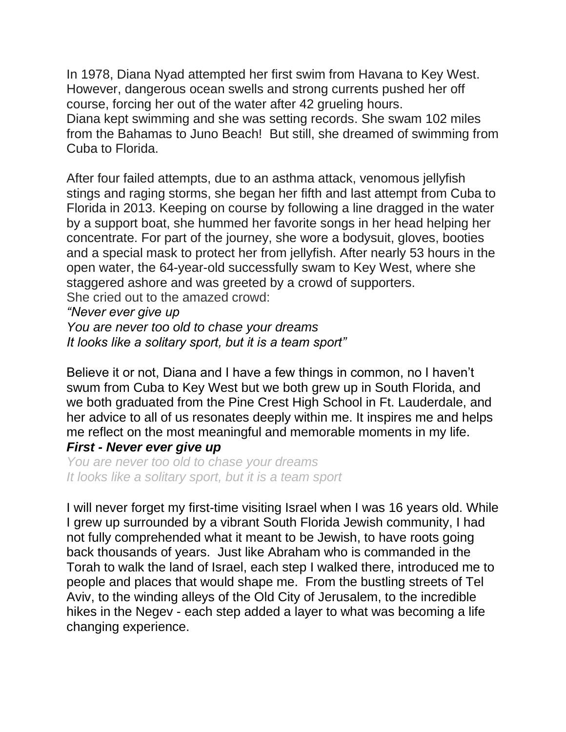In 1978, Diana Nyad attempted her first swim from Havana to Key West. However, dangerous ocean swells and strong currents pushed her off course, forcing her out of the water after 42 grueling hours. Diana kept swimming and she was setting records. She swam 102 miles from the Bahamas to Juno Beach! But still, she dreamed of swimming from Cuba to Florida.

After four failed attempts, due to an asthma attack, venomous jellyfish stings and raging storms, she began her fifth and last attempt from Cuba to Florida in 2013. Keeping on course by following a line dragged in the water by a support boat, she hummed her favorite songs in her head helping her concentrate. For part of the journey, she wore a bodysuit, gloves, booties and a special mask to protect her from jellyfish. After nearly 53 hours in the open water, the 64-year-old successfully swam to Key West, where she staggered ashore and was greeted by a crowd of supporters. She cried out to the amazed crowd:

*"Never ever give up*

*You are never too old to chase your dreams It looks like a solitary sport, but it is a team sport"*

Believe it or not, Diana and I have a few things in common, no I haven't swum from Cuba to Key West but we both grew up in South Florida, and we both graduated from the Pine Crest High School in Ft. Lauderdale, and her advice to all of us resonates deeply within me. It inspires me and helps me reflect on the most meaningful and memorable moments in my life. *First - Never ever give up*

*You are never too old to chase your dreams It looks like a solitary sport, but it is a team sport*

I will never forget my first-time visiting Israel when I was 16 years old. While I grew up surrounded by a vibrant South Florida Jewish community, I had not fully comprehended what it meant to be Jewish, to have roots going back thousands of years. Just like Abraham who is commanded in the Torah to walk the land of Israel, each step I walked there, introduced me to people and places that would shape me. From the bustling streets of Tel Aviv, to the winding alleys of the Old City of Jerusalem, to the incredible hikes in the Negev - each step added a layer to what was becoming a life changing experience.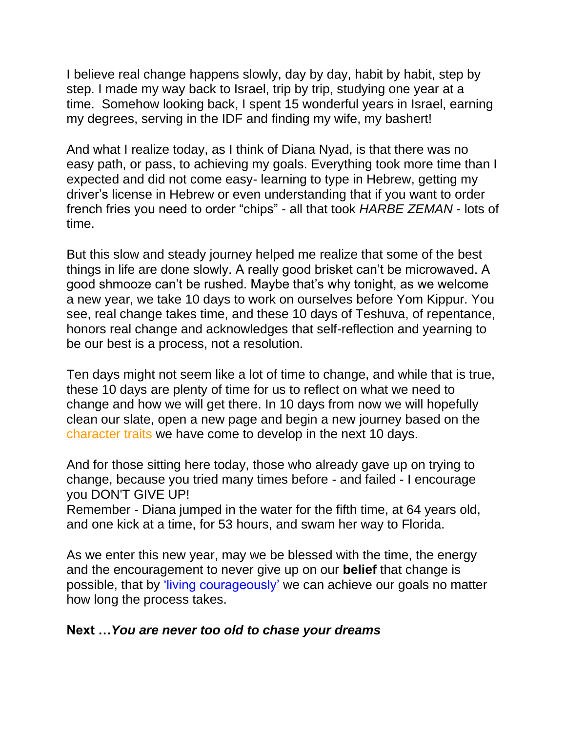I believe real change happens slowly, day by day, habit by habit, step by step. I made my way back to Israel, trip by trip, studying one year at a time. Somehow looking back, I spent 15 wonderful years in Israel, earning my degrees, serving in the IDF and finding my wife, my bashert!

And what I realize today, as I think of Diana Nyad, is that there was no easy path, or pass, to achieving my goals. Everything took more time than I expected and did not come easy- learning to type in Hebrew, getting my driver's license in Hebrew or even understanding that if you want to order french fries you need to order "chips" - all that took *HARBE ZEMAN* - lots of time.

But this slow and steady journey helped me realize that some of the best things in life are done slowly. A really good brisket can't be microwaved. A good shmooze can't be rushed. Maybe that's why tonight, as we welcome a new year, we take 10 days to work on ourselves before Yom Kippur. You see, real change takes time, and these 10 days of Teshuva, of repentance, honors real change and acknowledges that self-reflection and yearning to be our best is a process, not a resolution.

Ten days might not seem like a lot of time to change, and while that is true, these 10 days are plenty of time for us to reflect on what we need to change and how we will get there. In 10 days from now we will hopefully clean our slate, open a new page and begin a new journey based on the character traits we have come to develop in the next 10 days.

And for those sitting here today, those who already gave up on trying to change, because you tried many times before - and failed - I encourage you DON'T GIVE UP!

Remember - Diana jumped in the water for the fifth time, at 64 years old, and one kick at a time, for 53 hours, and swam her way to Florida.

As we enter this new year, may we be blessed with the time, the energy and the encouragement to never give up on our **belief** that change is possible, that by 'living courageously' we can achieve our goals no matter how long the process takes.

## **Next …***You are never too old to chase your dreams*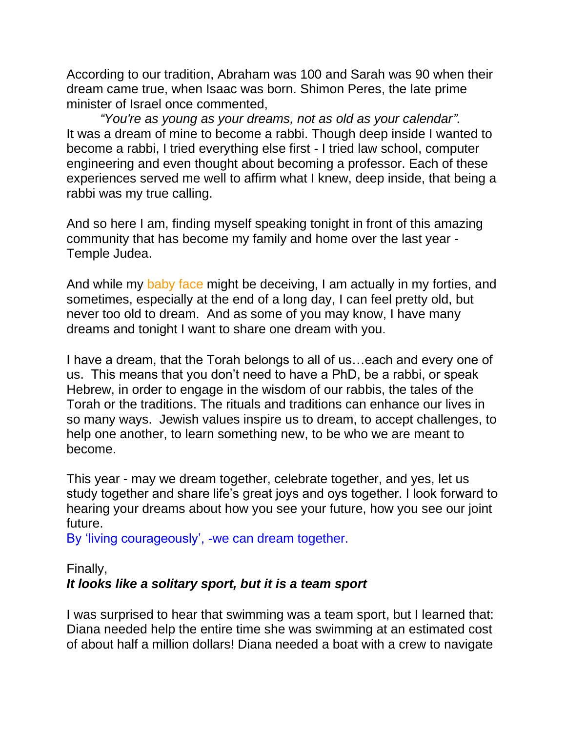According to our tradition, Abraham was 100 and Sarah was 90 when their dream came true, when Isaac was born. Shimon Peres, the late prime minister of Israel once commented,

*"You're as young as your dreams, not as old as your calendar".* It was a dream of mine to become a rabbi. Though deep inside I wanted to become a rabbi, I tried everything else first - I tried law school, computer engineering and even thought about becoming a professor. Each of these experiences served me well to affirm what I knew, deep inside, that being a rabbi was my true calling.

And so here I am, finding myself speaking tonight in front of this amazing community that has become my family and home over the last year - Temple Judea.

And while my baby face might be deceiving, I am actually in my forties, and sometimes, especially at the end of a long day, I can feel pretty old, but never too old to dream. And as some of you may know, I have many dreams and tonight I want to share one dream with you.

I have a dream, that the Torah belongs to all of us…each and every one of us. This means that you don't need to have a PhD, be a rabbi, or speak Hebrew, in order to engage in the wisdom of our rabbis, the tales of the Torah or the traditions. The rituals and traditions can enhance our lives in so many ways. Jewish values inspire us to dream, to accept challenges, to help one another, to learn something new, to be who we are meant to become.

This year - may we dream together, celebrate together, and yes, let us study together and share life's great joys and oys together. I look forward to hearing your dreams about how you see your future, how you see our joint future.

By 'living courageously', -we can dream together.

## Finally,

## *It looks like a solitary sport, but it is a team sport*

I was surprised to hear that swimming was a team sport, but I learned that: Diana needed help the entire time she was swimming at an estimated cost of about half a million dollars! Diana needed a boat with a crew to navigate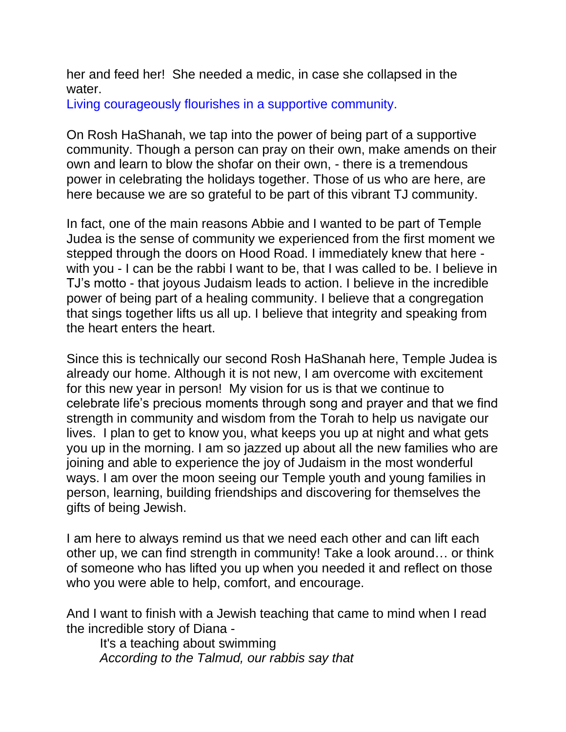her and feed her! She needed a medic, in case she collapsed in the water.

Living courageously flourishes in a supportive community.

On Rosh HaShanah, we tap into the power of being part of a supportive community. Though a person can pray on their own, make amends on their own and learn to blow the shofar on their own, - there is a tremendous power in celebrating the holidays together. Those of us who are here, are here because we are so grateful to be part of this vibrant TJ community.

In fact, one of the main reasons Abbie and I wanted to be part of Temple Judea is the sense of community we experienced from the first moment we stepped through the doors on Hood Road. I immediately knew that here with you - I can be the rabbi I want to be, that I was called to be. I believe in TJ's motto - that joyous Judaism leads to action. I believe in the incredible power of being part of a healing community. I believe that a congregation that sings together lifts us all up. I believe that integrity and speaking from the heart enters the heart.

Since this is technically our second Rosh HaShanah here, Temple Judea is already our home. Although it is not new, I am overcome with excitement for this new year in person! My vision for us is that we continue to celebrate life's precious moments through song and prayer and that we find strength in community and wisdom from the Torah to help us navigate our lives. I plan to get to know you, what keeps you up at night and what gets you up in the morning. I am so jazzed up about all the new families who are joining and able to experience the joy of Judaism in the most wonderful ways. I am over the moon seeing our Temple youth and young families in person, learning, building friendships and discovering for themselves the gifts of being Jewish.

I am here to always remind us that we need each other and can lift each other up, we can find strength in community! Take a look around… or think of someone who has lifted you up when you needed it and reflect on those who you were able to help, comfort, and encourage.

And I want to finish with a Jewish teaching that came to mind when I read the incredible story of Diana -

It's a teaching about swimming *According to the Talmud, our rabbis say that*